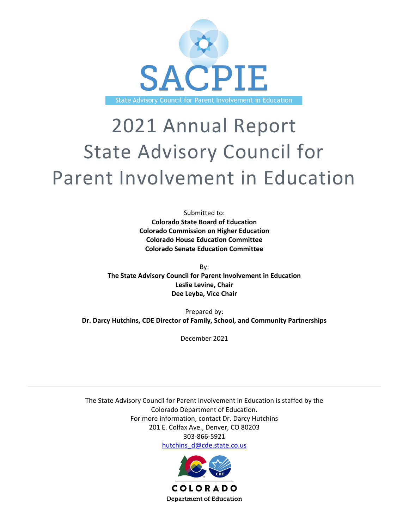

# 2021 Annual Report State Advisory Council for Parent Involvement in Education

Submitted to: **Colorado State Board of Education Colorado Commission on Higher Education Colorado House Education Committee Colorado Senate Education Committee**

By: **The State Advisory Council for Parent Involvement in Education Leslie Levine, Chair Dee Leyba, Vice Chair**

Prepared by: **Dr. Darcy Hutchins, CDE Director of Family, School, and Community Partnerships**

December 2021

The State Advisory Council for Parent Involvement in Education is staffed by the Colorado Department of Education. For more information, contact Dr. Darcy Hutchins 201 E. Colfax Ave., Denver, CO 80203 303-866-5921 [hutchins\\_d@cde.state.co.us](mailto:hutchins_d@cde.state.co.us)

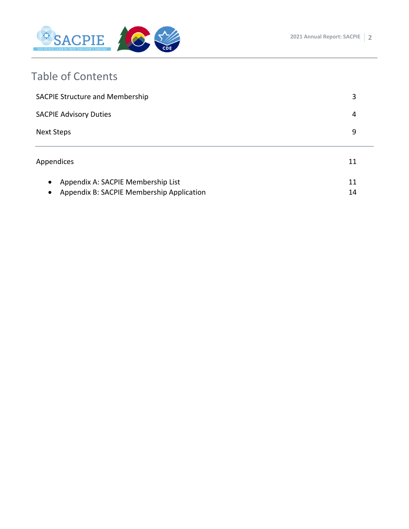

## Table of Contents

| <b>SACPIE Structure and Membership</b>                                                                    | 3        |
|-----------------------------------------------------------------------------------------------------------|----------|
| <b>SACPIE Advisory Duties</b>                                                                             | 4        |
| <b>Next Steps</b>                                                                                         | 9        |
| Appendices                                                                                                | 11       |
| Appendix A: SACPIE Membership List<br>$\bullet$<br>Appendix B: SACPIE Membership Application<br>$\bullet$ | 11<br>14 |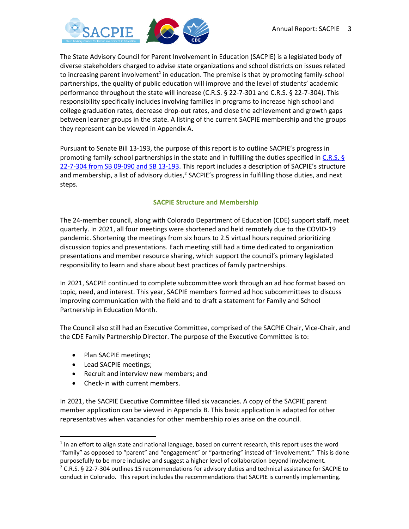

The State Advisory Council for Parent Involvement in Education (SACPIE) is a legislated body of diverse stakeholders charged to advise state organizations and school districts on issues related to increasing parent involvement**<sup>1</sup>** in education. The premise is that by promoting family-school partnerships, the quality of public education will improve and the level of students' academic performance throughout the state will increase (C.R.S. § 22-7-301 and C.R.S. § 22-7-304). This responsibility specifically includes involving families in programs to increase high school and college graduation rates, decrease drop-out rates, and close the achievement and growth gaps between learner groups in the state. A listing of the current SACPIE membership and the groups they represent can be viewed in [Appendix A.](#page-15-0)

Pursuant to Senate Bill 13-193, the purpose of this report is to outline SACPIE's progress in promoting family-school partnerships in the state and in fulfilling the duties specified in C.R.S. § [22-7-304 from SB 09-090 and SB 13-193](http://www.cde.state.co.us/sacpie/about_advisoryduties). This report includes a description of SACPIE's structure and membership, a list of advisory duties,<sup>2</sup> SACPIE's progress in fulfilling those duties, and next steps.

#### **SACPIE Structure and Membership**

The 24-member council, along with Colorado Department of Education (CDE) support staff, meet quarterly. In 2021, all four meetings were shortened and held remotely due to the COVID-19 pandemic. Shortening the meetings from six hours to 2.5 virtual hours required prioritizing discussion topics and presentations. Each meeting still had a time dedicated to organization presentations and member resource sharing, which support the council's primary legislated responsibility to learn and share about best practices of family partnerships.

In 2021, SACPIE continued to complete subcommittee work through an ad hoc format based on topic, need, and interest. This year, SACPIE members formed ad hoc subcommittees to discuss improving communication with the field and to draft a statement for Family and School Partnership in Education Month.

The Council also still had an Executive Committee, comprised of the SACPIE Chair, Vice-Chair, and the CDE Family Partnership Director. The purpose of the Executive Committee is to:

- Plan SACPIE meetings;
- Lead SACPIE meetings;
- Recruit and interview new members; and
- Check-in with current members.

In 2021, the SACPIE Executive Committee filled six vacancies. A copy of the SACPIE parent member application can be viewed in Appendix B. This basic application is adapted for other representatives when vacancies for other membership roles arise on the council.

 $<sup>1</sup>$  In an effort to align state and national language, based on current research, this report uses the word</sup> "family" as opposed to "parent" and "engagement" or "partnering" instead of "involvement." This is done purposefully to be more inclusive and suggest a higher level of collaboration beyond involvement. <sup>2</sup> C.R.S. § 22-7-304 outlines 15 recommendations for advisory duties and technical assistance for SACPIE to conduct in Colorado. This report includes the recommendations that SACPIE is currently implementing.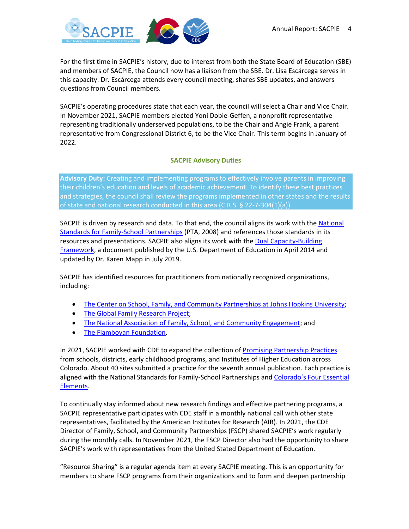

For the first time in SACPIE's history, due to interest from both the State Board of Education (SBE) and members of SACPIE, the Council now has a liaison from the SBE. Dr. Lisa Escárcega serves in this capacity. Dr. Escárcega attends every council meeting, shares SBE updates, and answers questions from Council members.

SACPIE's operating procedures state that each year, the council will select a Chair and Vice Chair. In November 2021, SACPIE members elected Yoni Dobie-Geffen, a nonprofit representative representing traditionally underserved populations, to be the Chair and Angie Frank, a parent representative from Congressional District 6, to be the Vice Chair. This term begins in January of 2022.

#### **SACPIE Advisory Duties**

**Advisory Duty:** Creating and implementing programs to effectively involve parents in improving their children's education and levels of academic achievement. To identify these best practices and strategies, the council shall review the programs implemented in other states and the results of state and national research conducted in this area (C.R.S. § 22-7-304(1)(a)).

SACPIE is driven by research and data. To that end, the council aligns its work with the [National](http://www.cde.state.co.us/sites/default/files/SACPIE_NationalStandardsGoalsIndicators_Family-SchoolPartnerships.pdf)  [Standards for Family-School Partnerships](http://www.cde.state.co.us/sites/default/files/SACPIE_NationalStandardsGoalsIndicators_Family-SchoolPartnerships.pdf) (PTA, 2008) and references those standards in its resources and presentations. SACPIE also aligns its work with the [Dual Capacity-Building](https://www.dualcapacity.org/) [Framework,](https://www.dualcapacity.org/) a document published by the U.S. Department of Education in April 2014 and updated by Dr. Karen Mapp in July 2019.

SACPIE has identified resources for practitioners from nationally recognized organizations, including:

- [The Center on School, Family, and Community Partnerships at Johns Hopkins University;](http://www.partnershipschools.org/)
- [The Global Family Research Project;](https://globalfrp.org/)
- [The National Association of Family, School, and Community Engagement;](https://nafsce.org/) and
- [The Flamboyan Foundation.](http://flamboyanfoundation.org/)

In 2021, SACPIE worked with CDE to expand the collection of [Promising Partnership Practices](https://www.cde.state.co.us/uip/promising-partnership-practices-book-2021) from schools, districts, early childhood programs, and Institutes of Higher Education across Colorado. About 40 sites submitted a practice for the seventh annual publication. Each practice is aligned with the National Standards for Family-School Partnerships and Colorado's Four Essential [Elements.](https://www.cde.state.co.us/uip/fscp_framework_pdf_011020)

To continually stay informed about new research findings and effective partnering programs, a SACPIE representative participates with CDE staff in a monthly national call with other state representatives, facilitated by the American Institutes for Research (AIR). In 2021, the CDE Director of Family, School, and Community Partnerships (FSCP) shared SACPIE's work regularly during the monthly calls. In November 2021, the FSCP Director also had the opportunity to share SACPIE's work with representatives from the United Stated Department of Education.

"Resource Sharing" is a regular agenda item at every SACPIE meeting. This is an opportunity for members to share FSCP programs from their organizations and to form and deepen partnership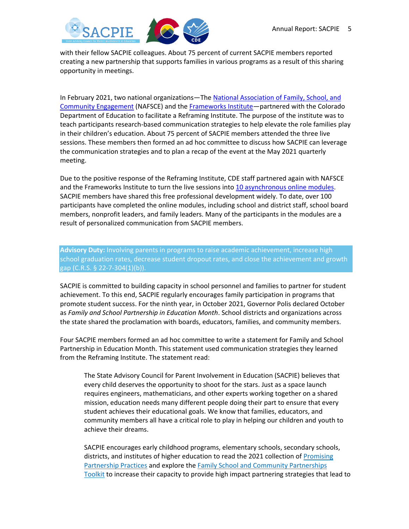

with their fellow SACPIE colleagues. About 75 percent of current SACPIE members reported creating a new partnership that supports families in various programs as a result of this sharing opportunity in meetings.

In February 2021, two national organizations-The National Association of Family, School, and [Community Engagement](https://nafsce.org/page/ReframingtheConversation?&hhsearchterms=%22reframing%22) (NAFSCE) and th[e Frameworks Institute](https://www.frameworksinstitute.org/toolkit/reframing-family-school-and-community-engagement/)—partnered with the Colorado Department of Education to facilitate a Reframing Institute. The purpose of the institute was to teach participants research-based communication strategies to help elevate the role families play in their children's education. About 75 percent of SACPIE members attended the three live sessions. These members then formed an ad hoc committee to discuss how SACPIE can leverage the communication strategies and to plan a recap of the event at the May 2021 quarterly meeting.

Due to the positive response of the Reframing Institute, CDE staff partnered again with NAFSCE and the Frameworks Institute to turn the live sessions into [10 asynchronous online modules.](https://comtss.learnworlds.com/course/fscpreframing) SACPIE members have shared this free professional development widely. To date, over 100 participants have completed the online modules, including school and district staff, school board members, nonprofit leaders, and family leaders. Many of the participants in the modules are a result of personalized communication from SACPIE members.

**Advisory Duty:** Involving parents in programs to raise academic achievement, increase high school graduation rates, decrease student dropout rates, and close the achievement and growth gap (C.R.S. § 22-7-304(1)(b)).

SACPIE is committed to building capacity in school personnel and families to partner for student achievement. To this end, SACPIE regularly encourages family participation in programs that promote student success. For the ninth year, in October 2021, Governor Polis declared October as *Family and School Partnership in Education Month*. School districts and organizations across the state shared the proclamation with boards, educators, families, and community members.

Four SACPIE members formed an ad hoc committee to write a statement for Family and School Partnership in Education Month. This statement used communication strategies they learned from the Reframing Institute. The statement read:

The State Advisory Council for Parent Involvement in Education (SACPIE) believes that every child deserves the opportunity to shoot for the stars. Just as a space launch requires engineers, mathematicians, and other experts working together on a shared mission, education needs many different people doing their part to ensure that every student achieves their educational goals. We know that families, educators, and community members all have a critical role to play in helping our children and youth to achieve their dreams.

SACPIE encourages early childhood programs, elementary schools, secondary schools, districts, and institutes of higher education to read the 2021 collection of [Promising](https://www.cde.state.co.us/uip/promising-partnership-practices-book-2021)  [Partnership Practices](https://www.cde.state.co.us/uip/promising-partnership-practices-book-2021) and explore the [Family School and Community Partnerships](https://www.cde.state.co.us/uip/p-12_fscp_framework)  [Toolkit](https://www.cde.state.co.us/uip/p-12_fscp_framework) to increase their capacity to provide high impact partnering strategies that lead to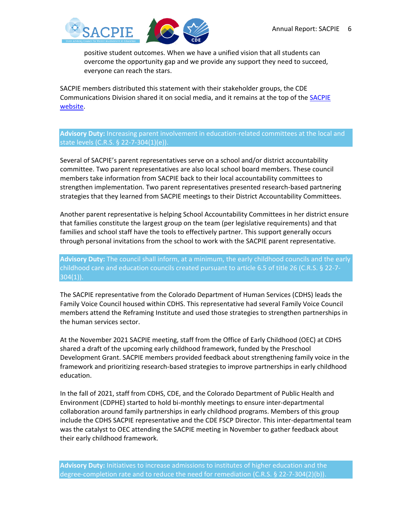

positive student outcomes. When we have a unified vision that all students can overcome the opportunity gap and we provide any support they need to succeed, everyone can reach the stars.

SACPIE members distributed this statement with their stakeholder groups, the CDE Communications Division shared it on social media, and it remains at the top of the SACPIE [website.](https://www.cde.state.co.us/sacpie)

**Advisory Duty:** Increasing parent involvement in education-related committees at the local and state levels (C.R.S. § 22-7-304(1)(e)).

Several of SACPIE's parent representatives serve on a school and/or district accountability committee. Two parent representatives are also local school board members. These council members take information from SACPIE back to their local accountability committees to strengthen implementation. Two parent representatives presented research-based partnering strategies that they learned from SACPIE meetings to their District Accountability Committees.

Another parent representative is helping School Accountability Committees in her district ensure that families constitute the largest group on the team (per legislative requirements) and that families and school staff have the tools to effectively partner. This support generally occurs through personal invitations from the school to work with the SACPIE parent representative.

**Advisory Duty:** The council shall inform, at a minimum, the early childhood councils and the early childhood care and education councils created pursuant to article 6.5 of title 26 (C.R.S. § 22-7-  $304(1)$ ).

The SACPIE representative from the Colorado Department of Human Services (CDHS) leads the Family Voice Council housed within CDHS. This representative had several Family Voice Council members attend the Reframing Institute and used those strategies to strengthen partnerships in the human services sector.

At the November 2021 SACPIE meeting, staff from the Office of Early Childhood (OEC) at CDHS shared a draft of the upcoming early childhood framework, funded by the Preschool Development Grant. SACPIE members provided feedback about strengthening family voice in the framework and prioritizing research-based strategies to improve partnerships in early childhood education.

In the fall of 2021, staff from CDHS, CDE, and the Colorado Department of Public Health and Environment (CDPHE) started to hold bi-monthly meetings to ensure inter-departmental collaboration around family partnerships in early childhood programs. Members of this group include the CDHS SACPIE representative and the CDE FSCP Director. This inter-departmental team was the catalyst to OEC attending the SACPIE meeting in November to gather feedback about their early childhood framework.

**Advisory Duty:** Initiatives to increase admissions to institutes of higher education and the degree-completion rate and to reduce the need for remediation (C.R.S. § 22-7-304(2)(b)).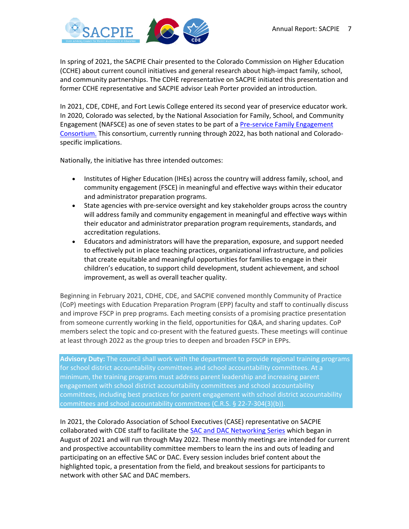

In spring of 2021, the SACPIE Chair presented to the Colorado Commission on Higher Education (CCHE) about current council initiatives and general research about high-impact family, school, and community partnerships. The CDHE representative on SACPIE initiated this presentation and former CCHE representative and SACPIE advisor Leah Porter provided an introduction.

In 2021, CDE, CDHE, and Fort Lewis College entered its second year of preservice educator work. In 2020, Colorado was selected, by the National Association for Family, School, and Community Engagement (NAFSCE) as one of seven states to be part of a [Pre-service Family Engagement](https://nafsce.org/page/edprep)  [Consortium.](https://nafsce.org/page/edprep) This consortium, currently running through 2022, has both national and Coloradospecific implications.

Nationally, the initiative has three intended outcomes:

- Institutes of Higher Education (IHEs) across the country will address family, school, and community engagement (FSCE) in meaningful and effective ways within their educator and administrator preparation programs.
- State agencies with pre-service oversight and key stakeholder groups across the country will address family and community engagement in meaningful and effective ways within their educator and administrator preparation program requirements, standards, and accreditation regulations.
- Educators and administrators will have the preparation, exposure, and support needed to effectively put in place teaching practices, organizational infrastructure, and policies that create equitable and meaningful opportunities for families to engage in their children's education, to support child development, student achievement, and school improvement, as well as overall teacher quality.

Beginning in February 2021, CDHE, CDE, and SACPIE convened monthly Community of Practice (CoP) meetings with Education Preparation Program (EPP) faculty and staff to continually discuss and improve FSCP in prep programs. Each meeting consists of a promising practice presentation from someone currently working in the field, opportunities for Q&A, and sharing updates. CoP members select the topic and co-present with the featured guests. These meetings will continue at least through 2022 as the group tries to deepen and broaden FSCP in EPPs.

**Advisory Duty:** The council shall work with the department to provide regional training programs for school district accountability committees and school accountability committees. At a minimum, the training programs must address parent leadership and increasing parent engagement with school district accountability committees and school accountability committees, including best practices for parent engagement with school district accountability committees and school accountability committees (C.R.S. § 22-7-304(3)(b)).

In 2021, the Colorado Association of School Executives (CASE) representative on SACPIE collaborated with CDE staff to facilitate the [SAC and DAC Networking Series](https://www.cde.state.co.us/uip/sacdacnetworking) which began in August of 2021 and will run through May 2022. These monthly meetings are intended for current and prospective accountability committee members to learn the ins and outs of leading and participating on an effective SAC or DAC. Every session includes brief content about the highlighted topic, a presentation from the field, and breakout sessions for participants to network with other SAC and DAC members.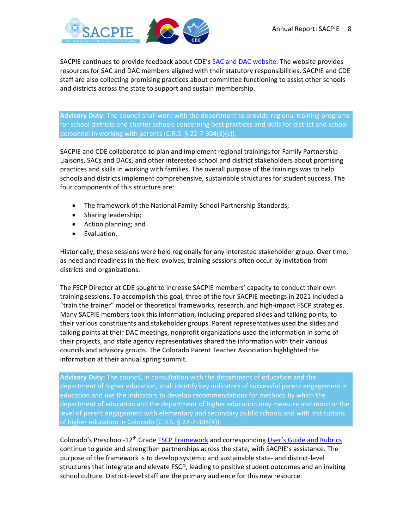

SACPIE continues to provide feedback about CDE's [SAC and DAC website.](http://www.cde.state.co.us/uip/sac_dac) The website provides resources for SAC and DAC members aligned with their statutory responsibilities. SACPIE and CDE staff are also collecting promising practices about committee functioning to assist other schools and districts across the state to support and sustain membership.

**Advisory Duty:** The council shall work with the department to provide regional training programs for school districts and charter schools concerning best practices and skills for district and school personnel in working with parents (C.R.S. § 22-7-304(3)(c)).

SACPIE and CDE collaborated to plan and implement regional trainings for Family Partnership Liaisons, SACs and DACs, and other interested school and district stakeholders about promising practices and skills in working with families. The overall purpose of the trainings was to help schools and districts implement comprehensive, sustainable structures for student success. The four components of this structure are:

- The framework of the National Family-School Partnership Standards;
- Sharing leadership;
- Action planning; and
- Evaluation.

Historically, these sessions were held regionally for any interested stakeholder group. Over time, as need and readiness in the field evolves, training sessions often occur by invitation from districts and organizations.

The FSCP Director at CDE sought to increase SACPIE members' capacity to conduct their own training sessions. To accomplish this goal, three of the four SACPIE meetings in 2021 included a "train the trainer" model or theoretical frameworks, research, and high-impact FSCP strategies. Many SACPIE members took this information, including prepared slides and talking points, to their various constituents and stakeholder groups. Parent representatives used the slides and talking points at their DAC meetings, nonprofit organizations used the information in some of their projects, and state agency representatives shared the information with their various councils and advisory groups. The Colorado Parent Teacher Association highlighted the information at their annual spring summit.

**Advisory Duty:** The council, in consultation with the department of education and the department of higher education, shall identify key indicators of successful parent engagement in education and use the indicators to develop recommendations for methods by which the department of education and the department of higher education may measure and monitor the level of parent engagement with elementary and secondary public schools and with institutions of higher education in Colorado (C.R.S. § 22-7-304(4)).

Colorado's Preschool-12<sup>th</sup> Grade **FSCP Framework** and corresponding [User's Guide and Rubrics](https://www.cde.state.co.us/uip/fscp-fillable-rubric) continue to guide and strengthen partnerships across the state, with SACPIE's assistance. The purpose of the framework is to develop systemic and sustainable state- and district-level structures that integrate and elevate FSCP, leading to positive student outcomes and an inviting school culture. District-level staff are the primary audience for this new resource.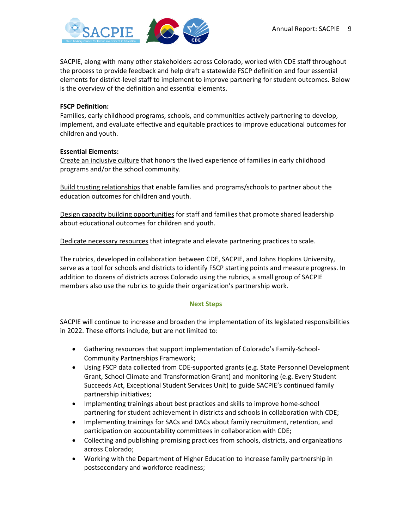SACPIE, along with many other stakeholders across Colorado, worked with CDE staff throughout the process to provide feedback and help draft a statewide FSCP definition and four essential elements for district-level staff to implement to improve partnering for student outcomes. Below is the overview of the definition and essential elements.

#### **FSCP Definition:**

Families, early childhood programs, schools, and communities actively partnering to develop, implement, and evaluate effective and equitable practices to improve educational outcomes for children and youth.

#### **Essential Elements:**

Create an inclusive culture that honors the lived experience of families in early childhood programs and/or the school community.

Build trusting relationships that enable families and programs/schools to partner about the education outcomes for children and youth.

Design capacity building opportunities for staff and families that promote shared leadership about educational outcomes for children and youth.

Dedicate necessary resources that integrate and elevate partnering practices to scale.

The rubrics, developed in collaboration between CDE, SACPIE, and Johns Hopkins University, serve as a tool for schools and districts to identify FSCP starting points and measure progress. In addition to dozens of districts across Colorado using the rubrics, a small group of SACPIE members also use the rubrics to guide their organization's partnership work.

#### **Next Steps**

SACPIE will continue to increase and broaden the implementation of its legislated responsibilities in 2022. These efforts include, but are not limited to:

- Gathering resources that support implementation of Colorado's Family-School-Community Partnerships Framework;
- Using FSCP data collected from CDE-supported grants (e.g. State Personnel Development Grant, School Climate and Transformation Grant) and monitoring (e.g. Every Student Succeeds Act, Exceptional Student Services Unit) to guide SACPIE's continued family partnership initiatives;
- Implementing trainings about best practices and skills to improve home-school partnering for student achievement in districts and schools in collaboration with CDE;
- Implementing trainings for SACs and DACs about family recruitment, retention, and participation on accountability committees in collaboration with CDE;
- Collecting and publishing promising practices from schools, districts, and organizations across Colorado;
- Working with the Department of Higher Education to increase family partnership in postsecondary and workforce readiness;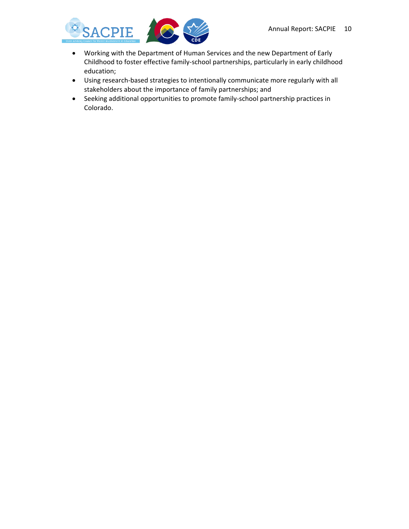

- Working with the Department of Human Services and the new Department of Early Childhood to foster effective family-school partnerships, particularly in early childhood education;
- Using research-based strategies to intentionally communicate more regularly with all stakeholders about the importance of family partnerships; and
- Seeking additional opportunities to promote family-school partnership practices in Colorado.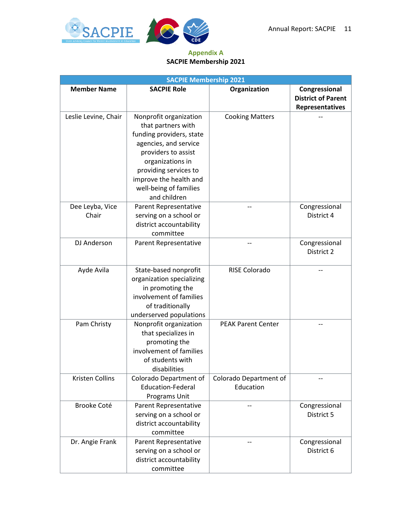

#### **Appendix A SACPIE Membership 2021**

| <b>SACPIE Membership 2021</b> |                                                                                                                                                                                                                                           |                                     |                                                               |
|-------------------------------|-------------------------------------------------------------------------------------------------------------------------------------------------------------------------------------------------------------------------------------------|-------------------------------------|---------------------------------------------------------------|
| <b>Member Name</b>            | <b>SACPIE Role</b>                                                                                                                                                                                                                        | Organization                        | Congressional<br><b>District of Parent</b><br>Representatives |
| Leslie Levine, Chair          | Nonprofit organization<br>that partners with<br>funding providers, state<br>agencies, and service<br>providers to assist<br>organizations in<br>providing services to<br>improve the health and<br>well-being of families<br>and children | <b>Cooking Matters</b>              |                                                               |
| Dee Leyba, Vice<br>Chair      | Parent Representative<br>serving on a school or<br>district accountability<br>committee                                                                                                                                                   |                                     | Congressional<br>District 4                                   |
| DJ Anderson                   | Parent Representative                                                                                                                                                                                                                     |                                     | Congressional<br>District 2                                   |
| Ayde Avila                    | State-based nonprofit<br>organization specializing<br>in promoting the<br>involvement of families<br>of traditionally<br>underserved populations                                                                                          | <b>RISE Colorado</b>                |                                                               |
| Pam Christy                   | Nonprofit organization<br>that specializes in<br>promoting the<br>involvement of families<br>of students with<br>disabilities                                                                                                             | <b>PEAK Parent Center</b>           |                                                               |
| Kristen Collins               | Colorado Department of<br><b>Education-Federal</b><br>Programs Unit                                                                                                                                                                       | Colorado Department of<br>Education |                                                               |
| Brooke Coté                   | Parent Representative<br>serving on a school or<br>district accountability<br>committee                                                                                                                                                   |                                     | Congressional<br>District 5                                   |
| Dr. Angie Frank               | Parent Representative<br>serving on a school or<br>district accountability<br>committee                                                                                                                                                   |                                     | Congressional<br>District 6                                   |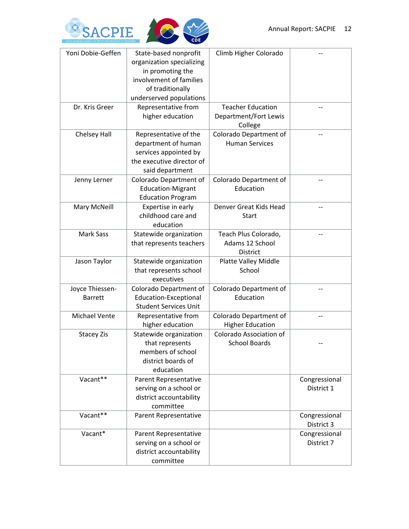

| Yoni Dobie-Geffen | State-based nonprofit        | Climb Higher Colorado    |                |
|-------------------|------------------------------|--------------------------|----------------|
|                   | organization specializing    |                          |                |
|                   | in promoting the             |                          |                |
|                   | involvement of families      |                          |                |
|                   | of traditionally             |                          |                |
|                   | underserved populations      |                          |                |
| Dr. Kris Greer    | Representative from          | <b>Teacher Education</b> |                |
|                   | higher education             | Department/Fort Lewis    |                |
|                   |                              | College                  |                |
| Chelsey Hall      | Representative of the        | Colorado Department of   |                |
|                   | department of human          | <b>Human Services</b>    |                |
|                   | services appointed by        |                          |                |
|                   | the executive director of    |                          |                |
|                   | said department              |                          |                |
| Jenny Lerner      | Colorado Department of       | Colorado Department of   |                |
|                   | <b>Education-Migrant</b>     | Education                |                |
|                   | <b>Education Program</b>     |                          |                |
| Mary McNeill      | Expertise in early           | Denver Great Kids Head   |                |
|                   | childhood care and           | <b>Start</b>             |                |
|                   | education                    |                          |                |
| <b>Mark Sass</b>  | Statewide organization       | Teach Plus Colorado,     | $\overline{a}$ |
|                   | that represents teachers     | Adams 12 School          |                |
|                   |                              | <b>District</b>          |                |
| Jason Taylor      | Statewide organization       | Platte Valley Middle     |                |
|                   | that represents school       | School                   |                |
|                   | executives                   |                          |                |
| Joyce Thiessen-   | Colorado Department of       | Colorado Department of   |                |
| <b>Barrett</b>    | <b>Education-Exceptional</b> | Education                |                |
|                   | <b>Student Services Unit</b> |                          |                |
| Michael Vente     | Representative from          | Colorado Department of   |                |
|                   | higher education             | <b>Higher Education</b>  |                |
| <b>Stacey Zis</b> | Statewide organization       | Colorado Association of  |                |
|                   | that represents              | <b>School Boards</b>     |                |
|                   | members of school            |                          |                |
|                   | district boards of           |                          |                |
|                   | education                    |                          |                |
| Vacant**          | Parent Representative        |                          | Congressional  |
|                   | serving on a school or       |                          | District 1     |
|                   | district accountability      |                          |                |
|                   | committee                    |                          |                |
| Vacant**          | Parent Representative        |                          | Congressional  |
|                   |                              |                          | District 3     |
| Vacant*           | Parent Representative        |                          | Congressional  |
|                   | serving on a school or       |                          | District 7     |
|                   | district accountability      |                          |                |
|                   | committee                    |                          |                |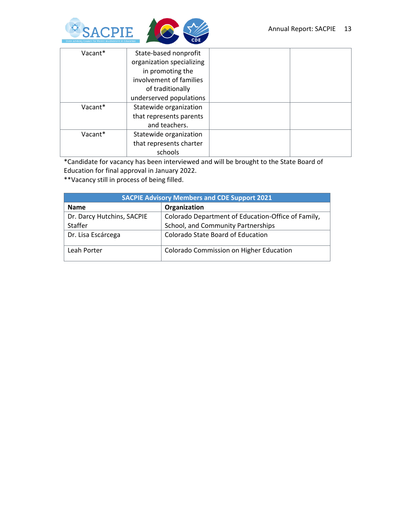

| Vacant* | State-based nonprofit     |  |
|---------|---------------------------|--|
|         | organization specializing |  |
|         | in promoting the          |  |
|         | involvement of families   |  |
|         | of traditionally          |  |
|         | underserved populations   |  |
| Vacant* | Statewide organization    |  |
|         | that represents parents   |  |
|         | and teachers.             |  |
| Vacant* | Statewide organization    |  |
|         | that represents charter   |  |
|         | schools                   |  |

\*Candidate for vacancy has been interviewed and will be brought to the State Board of Education for final approval in January 2022.

\*\*Vacancy still in process of being filled.

| <b>SACPIE Advisory Members and CDE Support 2021</b> |                                                    |  |
|-----------------------------------------------------|----------------------------------------------------|--|
| <b>Name</b>                                         | Organization                                       |  |
| Dr. Darcy Hutchins, SACPIE                          | Colorado Department of Education-Office of Family, |  |
| Staffer                                             | School, and Community Partnerships                 |  |
| Dr. Lisa Escárcega                                  | Colorado State Board of Education                  |  |
| Leah Porter                                         | <b>Colorado Commission on Higher Education</b>     |  |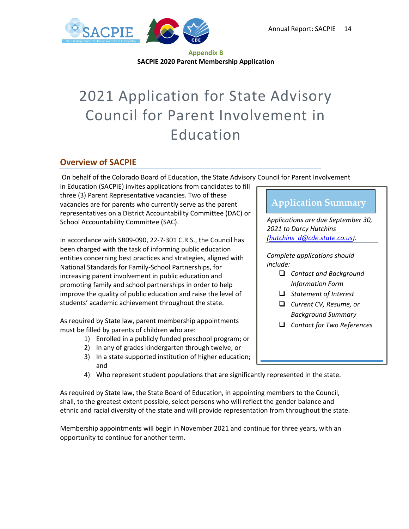

#### **Appendix B SACPIE 2020 Parent Membership Application**

# 2021 Application for State Advisory Council for Parent Involvement in Education

#### **Overview of SACPIE**

On behalf of the Colorado Board of Education, the State Advisory Council for Parent Involvement

in Education (SACPIE) invites applications from candidates to fill three (3) Parent Representative vacancies. Two of these vacancies are for parents who currently serve as the parent representatives on a District Accountability Committee (DAC) or School Accountability Committee (SAC).

In accordance with SB09-090, 22-7-301 C.R.S., the Council has been charged with the task of informing public education entities concerning best practices and strategies, aligned with National Standards for Family-School Partnerships, for increasing parent involvement in public education and promoting family and school partnerships in order to help improve the quality of public education and raise the level of students' academic achievement throughout the state.

As required by State law, parent membership appointments must be filled by parents of children who are:

- 1) Enrolled in a publicly funded preschool program; or
- 2) In any of grades kindergarten through twelve; or
- 3) In a state supported institution of higher education; and
- 4) Who represent student populations that are significantly represented in the state.

As required by State law, the State Board of Education, in appointing members to the Council, shall, to the greatest extent possible, select persons who will reflect the gender balance and ethnic and racial diversity of the state and will provide representation from throughout the state.

Membership appointments will begin in November 2021 and continue for three years, with an opportunity to continue for another term.

### **Application Summary**

*Applications are due September 30, 2021 to Darcy Hutchins [\(hutchins\\_d@cde.state.co.us\)](mailto:hutchins_d@cde.state.co.us).*

*Complete applications should include:*

- ❑ *Contact and Background Information Form*
- ❑ *Statement of Interest*
- ❑ *Current CV, Resume, or Background Summary*
- ❑ *Contact for Two References*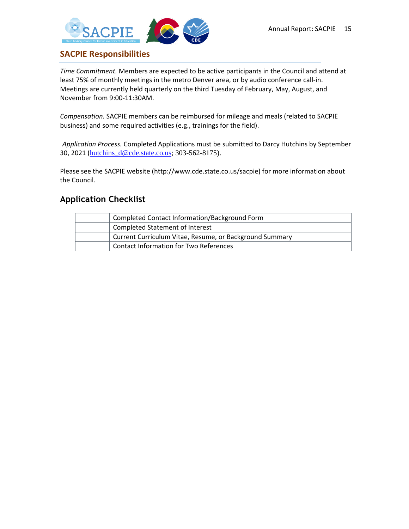

#### **SACPIE Responsibilities**

*Time Commitment.* Members are expected to be active participants in the Council and attend at least 75% of monthly meetings in the metro Denver area, or by audio conference call-in. Meetings are currently held quarterly on the third Tuesday of February, May, August, and November from 9:00-11:30AM.

*Compensation.* SACPIE members can be reimbursed for mileage and meals (related to SACPIE business) and some required activities (e.g., trainings for the field).

*Application Process.* Completed Applications must be submitted to Darcy Hutchins by September 30, 2021 ([hutchins\\_d@cde.state.co.us;](mailto:hutchins_d@cde.state.co.us) 303-562-8175).

Please see the SACPIE website (http://www.cde.state.co.us/sacpie) for more information about the Council.

#### **Application Checklist**

| Completed Contact Information/Background Form           |
|---------------------------------------------------------|
| <b>Completed Statement of Interest</b>                  |
| Current Curriculum Vitae, Resume, or Background Summary |
| <b>Contact Information for Two References</b>           |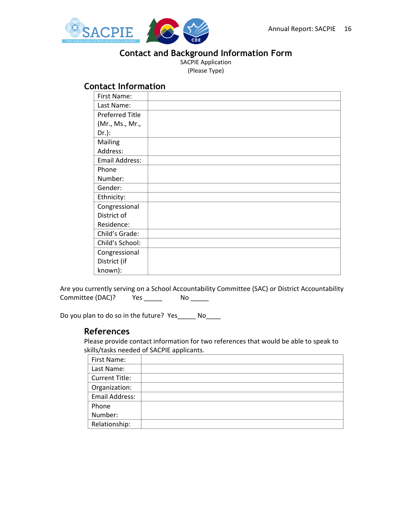<span id="page-15-0"></span>

#### **Contact and Background Information Form**

SACPIE Application (Please Type)

#### **Contact Information**

| First Name:            |  |
|------------------------|--|
| Last Name:             |  |
| <b>Preferred Title</b> |  |
| (Mr., Ms., Mr.,        |  |
| $Dr.$ ):               |  |
| Mailing                |  |
| Address:               |  |
| Email Address:         |  |
| Phone                  |  |
| Number:                |  |
| Gender:                |  |
| Ethnicity:             |  |
| Congressional          |  |
| District of            |  |
| Residence:             |  |
| Child's Grade:         |  |
| Child's School:        |  |
| Congressional          |  |
| District (if           |  |
| known):                |  |

Are you currently serving on a School Accountability Committee (SAC) or District Accountability Committee (DAC)? Yes \_\_\_\_\_\_ No \_\_\_\_\_

Do you plan to do so in the future? Yes\_\_\_\_\_ No\_\_\_\_

#### **References**

Please provide contact information for two references that would be able to speak to skills/tasks needed of SACPIE applicants.

| First Name:           |  |
|-----------------------|--|
| Last Name:            |  |
| <b>Current Title:</b> |  |
| Organization:         |  |
| Email Address:        |  |
| Phone                 |  |
| Number:               |  |
| Relationship:         |  |